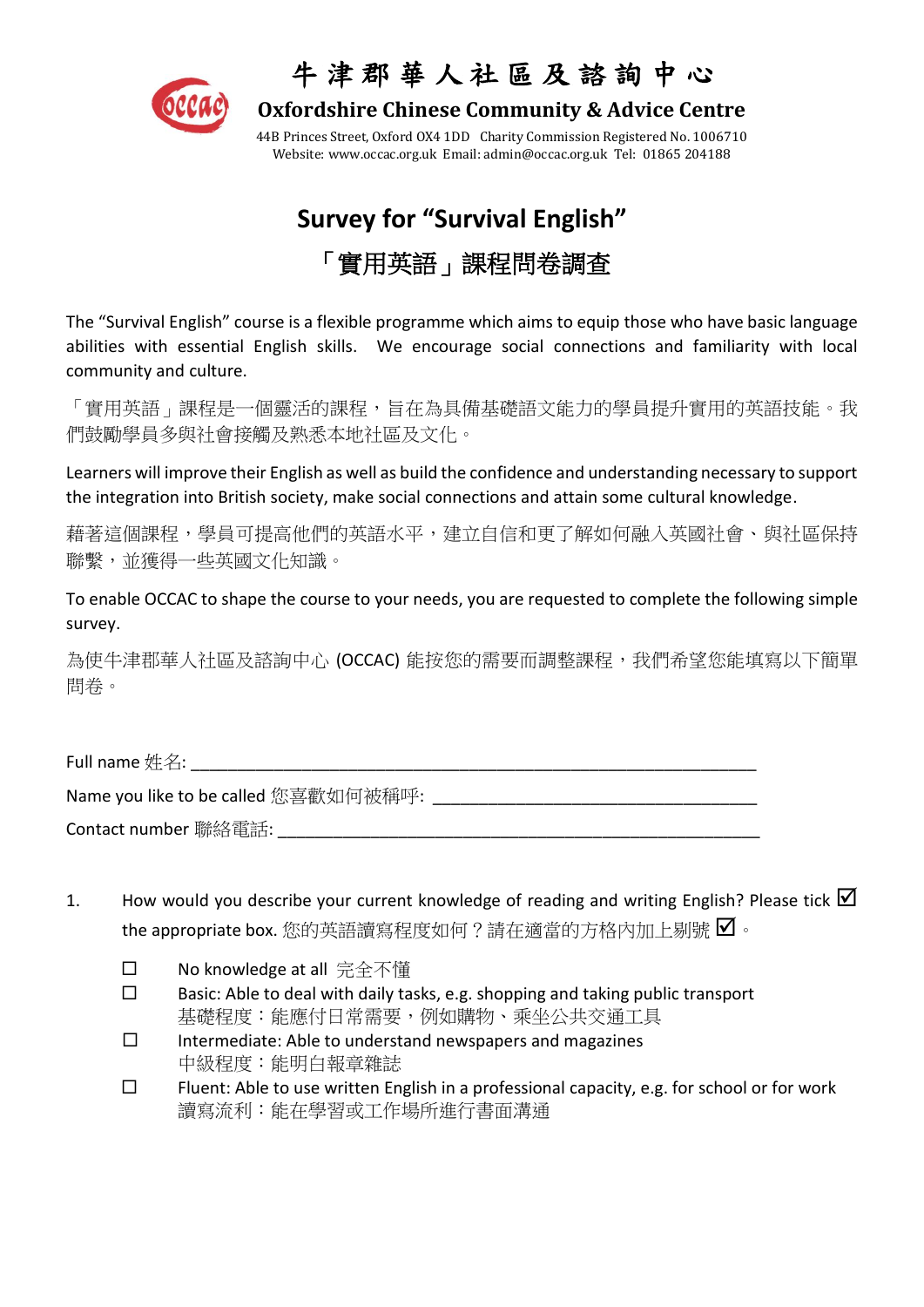

### 牛 津 郡 華 人 社 區 及 諮 詢 中 心

 **Oxfordshire Chinese Community & Advice Centre**

44B Princes Street, Oxford OX4 1DD Charity Commission Registered No. 1006710 Website[: www.occac.org.uk](http://www.occac.org.uk/) Email: [admin@occac.org.uk](mailto:occac@dsl.pipex.com) Tel: 01865 204188

# **Survey for "Survival English"** 「實用英語」課程問卷調查

The "Survival English" course is a flexible programme which aims to equip those who have basic language abilities with essential English skills. We encourage social connections and familiarity with local community and culture.

「實用英語」課程是一個靈活的課程,旨在為具備基礎語文能力的學員提升實用的英語技能。我 們鼓勵學員多與社會接觸及熟悉本地社區及文化。

Learners will improve their English as well as build the confidence and understanding necessary to support the integration into British society, make social connections and attain some cultural knowledge.

藉著這個課程,學員可提高他們的英語水平,建立自信和更了解如何融入英國社會、與社區保持 聯繫,並獲得一些英國文化知識。

To enable OCCAC to shape the course to your needs, you are requested to complete the following simple survey.

為使牛津郡華人社區及諮詢中心 (OCCAC) 能按您的需要而調整課程,我們希望您能填寫以下簡單 問卷。

Full name 姓名:  $\blacksquare$ 

Name you like to be called 您喜歡如何被稱呼:

Contact number 聯絡電話:

- 1. How would you describe your current knowledge of reading and writing English? Please tick  $\boxtimes$ the appropriate box. 您的英語讀寫程度如何?請在適當的方格內加上剔號  $\blacksquare$ 。
	- No knowledge at all 完全不懂
	- $\square$  Basic: Able to deal with daily tasks, e.g. shopping and taking public transport 基礎程度:能應付日常需要,例如購物、乘坐公共交通工具
	- $\square$  Intermediate: Able to understand newspapers and magazines 中級程度:能明白報章雜誌
	- $\square$  Fluent: Able to use written English in a professional capacity, e.g. for school or for work 讀寫流利:能在學習或工作場所進行書面溝通